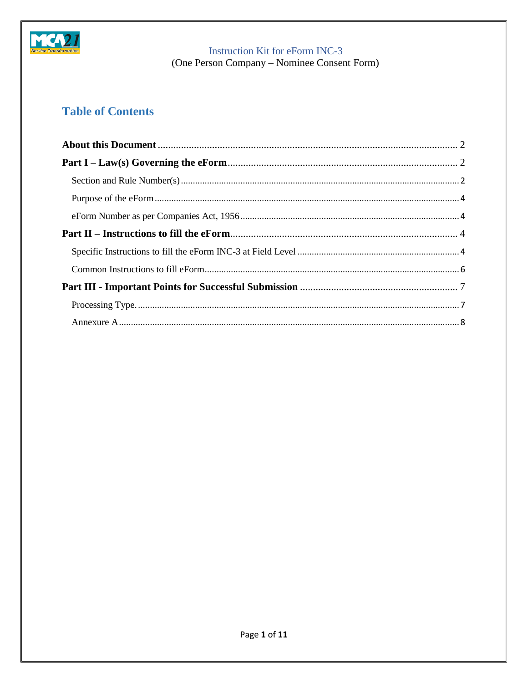

(One Person Company - Nominee Consent Form)

# **Table of Contents**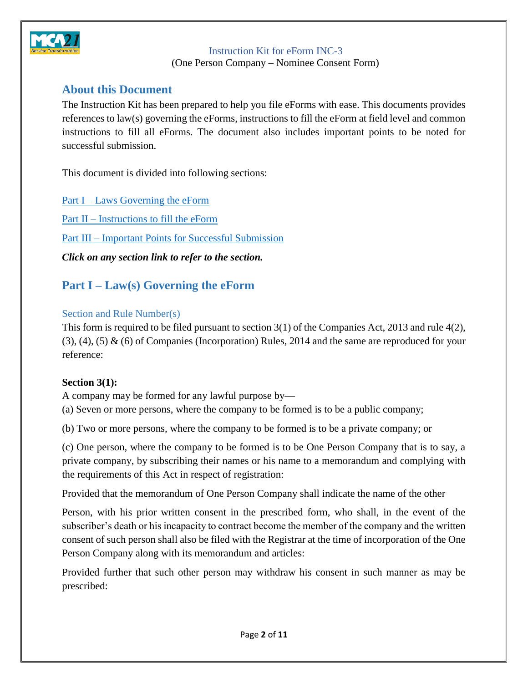

(One Person Company – Nominee Consent Form)

### <span id="page-1-0"></span>**About this Document**

The Instruction Kit has been prepared to help you file eForms with ease. This documents provides references to law(s) governing the eForms, instructions to fill the eForm at field level and common instructions to fill all eForms. The document also includes important points to be noted for successful submission.

This document is divided into following sections:

Part I – Laws [Governing the eForm](#page-1-1) Part II – [Instructions to fill the eForm](#page-3-4) Part III – [Important Points for Successful Submission](#page-6-0) *Click on any section link to refer to the section.*

### <span id="page-1-1"></span>**Part I – Law(s) Governing the eForm**

### <span id="page-1-2"></span>Section and Rule Number(s)

This form is required to be filed pursuant to section 3(1) of the Companies Act, 2013 and rule 4(2),  $(3)$ ,  $(4)$ ,  $(5)$  &  $(6)$  of Companies (Incorporation) Rules, 2014 and the same are reproduced for your reference:

### **Section 3(1):**

A company may be formed for any lawful purpose by—

(a) Seven or more persons, where the company to be formed is to be a public company;

(b) Two or more persons, where the company to be formed is to be a private company; or

(c) One person, where the company to be formed is to be One Person Company that is to say, a private company, by subscribing their names or his name to a memorandum and complying with the requirements of this Act in respect of registration:

Provided that the memorandum of One Person Company shall indicate the name of the other

Person, with his prior written consent in the prescribed form, who shall, in the event of the subscriber's death or his incapacity to contract become the member of the company and the written consent of such person shall also be filed with the Registrar at the time of incorporation of the One Person Company along with its memorandum and articles:

Provided further that such other person may withdraw his consent in such manner as may be prescribed: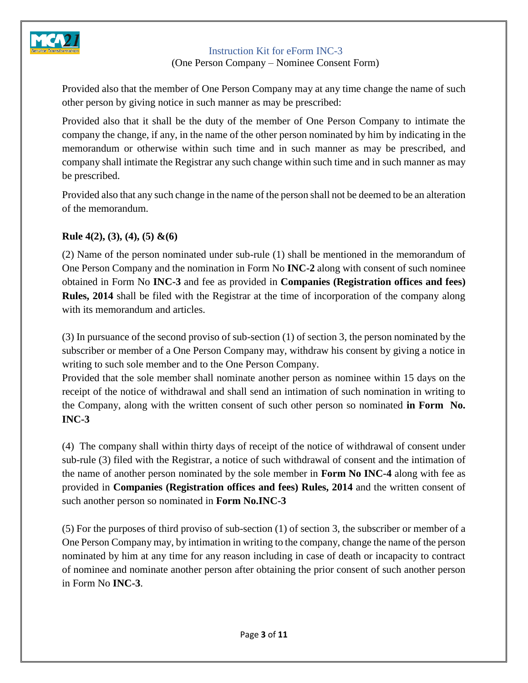

(One Person Company – Nominee Consent Form)

Provided also that the member of One Person Company may at any time change the name of such other person by giving notice in such manner as may be prescribed:

Provided also that it shall be the duty of the member of One Person Company to intimate the company the change, if any, in the name of the other person nominated by him by indicating in the memorandum or otherwise within such time and in such manner as may be prescribed, and company shall intimate the Registrar any such change within such time and in such manner as may be prescribed.

Provided also that any such change in the name of the person shall not be deemed to be an alteration of the memorandum.

### **Rule 4(2), (3), (4), (5) &(6)**

(2) Name of the person nominated under sub-rule (1) shall be mentioned in the memorandum of One Person Company and the nomination in Form No **INC-2** along with consent of such nominee obtained in Form No **INC-3** and fee as provided in **Companies (Registration offices and fees) Rules, 2014** shall be filed with the Registrar at the time of incorporation of the company along with its memorandum and articles.

(3) In pursuance of the second proviso of sub-section (1) of section 3, the person nominated by the subscriber or member of a One Person Company may, withdraw his consent by giving a notice in writing to such sole member and to the One Person Company.

Provided that the sole member shall nominate another person as nominee within 15 days on the receipt of the notice of withdrawal and shall send an intimation of such nomination in writing to the Company, along with the written consent of such other person so nominated **in Form No. INC-3**

(4) The company shall within thirty days of receipt of the notice of withdrawal of consent under sub-rule (3) filed with the Registrar, a notice of such withdrawal of consent and the intimation of the name of another person nominated by the sole member in **Form No INC-4** along with fee as provided in **Companies (Registration offices and fees) Rules, 2014** and the written consent of such another person so nominated in **Form No.INC-3**

(5) For the purposes of third proviso of sub-section (1) of section 3, the subscriber or member of a One Person Company may, by intimation in writing to the company, change the name of the person nominated by him at any time for any reason including in case of death or incapacity to contract of nominee and nominate another person after obtaining the prior consent of such another person in Form No **INC-3**.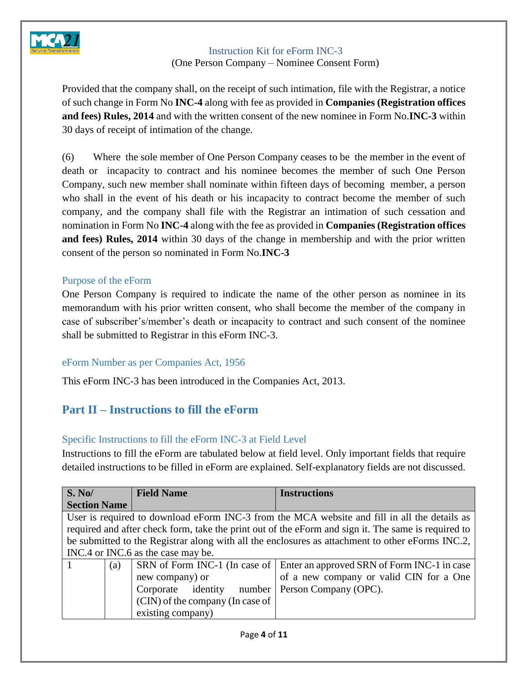

(One Person Company – Nominee Consent Form)

Provided that the company shall, on the receipt of such intimation, file with the Registrar, a notice of such change in Form No **INC-4** along with fee as provided in **Companies (Registration offices and fees) Rules, 2014** and with the written consent of the new nominee in Form No.**INC-3** within 30 days of receipt of intimation of the change.

(6) Where the sole member of One Person Company ceases to be the member in the event of death or incapacity to contract and his nominee becomes the member of such One Person Company, such new member shall nominate within fifteen days of becoming member, a person who shall in the event of his death or his incapacity to contract become the member of such company, and the company shall file with the Registrar an intimation of such cessation and nomination in Form No **INC-4** along with the fee as provided in **Companies (Registration offices and fees) Rules, 2014** within 30 days of the change in membership and with the prior written consent of the person so nominated in Form No.**INC-3**

#### <span id="page-3-0"></span>Purpose of the eForm

One Person Company is required to indicate the name of the other person as nominee in its memorandum with his prior written consent, who shall become the member of the company in case of subscriber's/member's death or incapacity to contract and such consent of the nominee shall be submitted to Registrar in this eForm INC-3.

### <span id="page-3-1"></span>eForm Number as per Companies Act, 1956

<span id="page-3-4"></span>This eForm INC-3 has been introduced in the Companies Act, 2013.

### <span id="page-3-2"></span>**Part II – Instructions to fill the eForm**

### <span id="page-3-3"></span>Specific Instructions to fill the eForm INC-3 at Field Level

Instructions to fill the eForm are tabulated below at field level. Only important fields that require detailed instructions to be filled in eForm are explained. Self-explanatory fields are not discussed.

| $\overline{\textbf{S}}$ . No/                         | <b>Field Name</b>                | <b>Instructions</b>                                                                                 |  |
|-------------------------------------------------------|----------------------------------|-----------------------------------------------------------------------------------------------------|--|
| <b>Section Name</b>                                   |                                  |                                                                                                     |  |
|                                                       |                                  | User is required to download eForm INC-3 from the MCA website and fill in all the details as        |  |
|                                                       |                                  | required and after check form, take the print out of the eForm and sign it. The same is required to |  |
|                                                       |                                  | be submitted to the Registrar along with all the enclosures as attachment to other eForms INC.2,    |  |
| INC.4 or INC.6 as the case may be.                    |                                  |                                                                                                     |  |
| (a)                                                   |                                  | SRN of Form INC-1 (In case of   Enter an approved SRN of Form INC-1 in case                         |  |
|                                                       | new company) or                  | of a new company or valid CIN for a One                                                             |  |
| Corporate identity<br>Person Company (OPC).<br>number |                                  |                                                                                                     |  |
|                                                       | (CIN) of the company (In case of |                                                                                                     |  |
|                                                       | existing company)                |                                                                                                     |  |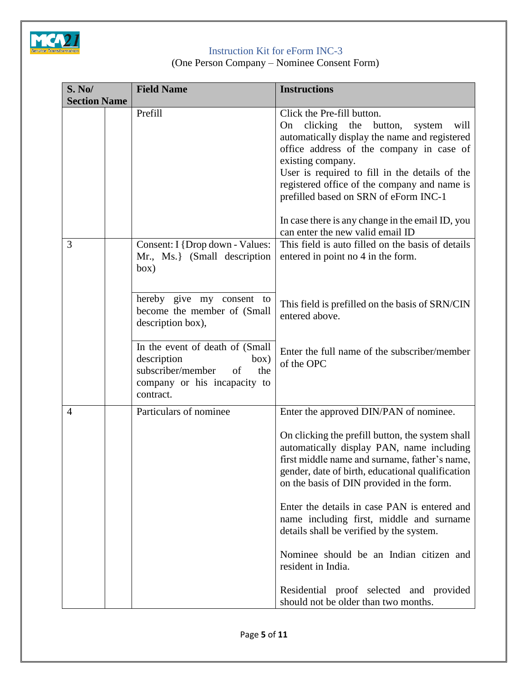

(One Person Company – Nominee Consent Form)

| <b>S. No/</b>       |  | <b>Field Name</b>                                                                                                                     | <b>Instructions</b>                                                                                                                                                                                                                                                                                                                                                                                                                   |
|---------------------|--|---------------------------------------------------------------------------------------------------------------------------------------|---------------------------------------------------------------------------------------------------------------------------------------------------------------------------------------------------------------------------------------------------------------------------------------------------------------------------------------------------------------------------------------------------------------------------------------|
| <b>Section Name</b> |  |                                                                                                                                       |                                                                                                                                                                                                                                                                                                                                                                                                                                       |
|                     |  | Prefill                                                                                                                               | Click the Pre-fill button.<br>clicking<br>the<br>button,<br>system<br>will<br>On<br>automatically display the name and registered<br>office address of the company in case of<br>existing company.<br>User is required to fill in the details of the<br>registered office of the company and name is<br>prefilled based on SRN of eForm INC-1<br>In case there is any change in the email ID, you<br>can enter the new valid email ID |
| 3                   |  | Consent: I {Drop down - Values:<br>Mr., Ms.} (Small description<br>box)                                                               | This field is auto filled on the basis of details<br>entered in point no 4 in the form.                                                                                                                                                                                                                                                                                                                                               |
|                     |  | hereby give my consent to<br>become the member of (Small<br>description box),                                                         | This field is prefilled on the basis of SRN/CIN<br>entered above.                                                                                                                                                                                                                                                                                                                                                                     |
|                     |  | In the event of death of (Small<br>description<br>box)<br>subscriber/member<br>of<br>the<br>company or his incapacity to<br>contract. | Enter the full name of the subscriber/member<br>of the OPC                                                                                                                                                                                                                                                                                                                                                                            |
| 4                   |  | Particulars of nominee                                                                                                                | Enter the approved DIN/PAN of nominee.                                                                                                                                                                                                                                                                                                                                                                                                |
|                     |  |                                                                                                                                       | On clicking the prefill button, the system shall<br>automatically display PAN, name including<br>first middle name and surname, father's name,<br>gender, date of birth, educational qualification<br>on the basis of DIN provided in the form.                                                                                                                                                                                       |
|                     |  |                                                                                                                                       | Enter the details in case PAN is entered and<br>name including first, middle and surname<br>details shall be verified by the system.                                                                                                                                                                                                                                                                                                  |
|                     |  |                                                                                                                                       | Nominee should be an Indian citizen and<br>resident in India.                                                                                                                                                                                                                                                                                                                                                                         |
|                     |  |                                                                                                                                       | Residential proof selected and provided<br>should not be older than two months.                                                                                                                                                                                                                                                                                                                                                       |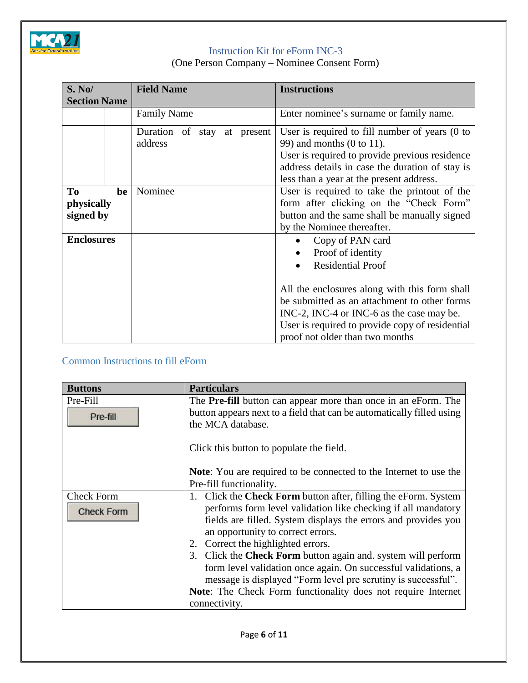

(One Person Company – Nominee Consent Form)

| S. No/              |    | <b>Field Name</b>           | <b>Instructions</b>                                       |  |
|---------------------|----|-----------------------------|-----------------------------------------------------------|--|
| <b>Section Name</b> |    |                             |                                                           |  |
|                     |    | <b>Family Name</b>          | Enter nominee's surname or family name.                   |  |
|                     |    | Duration of stay at present | User is required to fill number of years $(0 \text{ to }$ |  |
|                     |    | address                     | 99) and months $(0 \text{ to } 11)$ .                     |  |
|                     |    |                             | User is required to provide previous residence            |  |
|                     |    |                             | address details in case the duration of stay is           |  |
|                     |    |                             | less than a year at the present address.                  |  |
| To                  | be | Nominee                     | User is required to take the printout of the              |  |
| physically          |    |                             | form after clicking on the "Check Form"                   |  |
| signed by           |    |                             | button and the same shall be manually signed              |  |
|                     |    |                             | by the Nominee thereafter.                                |  |
| <b>Enclosures</b>   |    |                             | Copy of PAN card                                          |  |
|                     |    |                             | Proof of identity                                         |  |
|                     |    |                             | <b>Residential Proof</b>                                  |  |
|                     |    |                             |                                                           |  |
|                     |    |                             | All the enclosures along with this form shall             |  |
|                     |    |                             | be submitted as an attachment to other forms              |  |
|                     |    |                             | INC-2, INC-4 or INC-6 as the case may be.                 |  |
|                     |    |                             | User is required to provide copy of residential           |  |
|                     |    |                             | proof not older than two months                           |  |

### <span id="page-5-0"></span>Common Instructions to fill eForm

| <b>Buttons</b>                         | <b>Particulars</b>                                                                                                                                                                                                                                                                |
|----------------------------------------|-----------------------------------------------------------------------------------------------------------------------------------------------------------------------------------------------------------------------------------------------------------------------------------|
| Pre-Fill<br>Pre-fill                   | The <b>Pre-fill</b> button can appear more than once in an eForm. The<br>button appears next to a field that can be automatically filled using<br>the MCA database.                                                                                                               |
|                                        | Click this button to populate the field.                                                                                                                                                                                                                                          |
|                                        | <b>Note:</b> You are required to be connected to the Internet to use the                                                                                                                                                                                                          |
|                                        | Pre-fill functionality.                                                                                                                                                                                                                                                           |
| <b>Check Form</b><br><b>Check Form</b> | 1. Click the <b>Check Form</b> button after, filling the eForm. System<br>performs form level validation like checking if all mandatory<br>fields are filled. System displays the errors and provides you<br>an opportunity to correct errors.                                    |
|                                        | Correct the highlighted errors.<br>2.                                                                                                                                                                                                                                             |
|                                        | 3. Click the Check Form button again and. system will perform<br>form level validation once again. On successful validations, a<br>message is displayed "Form level pre scrutiny is successful".<br>Note: The Check Form functionality does not require Internet<br>connectivity. |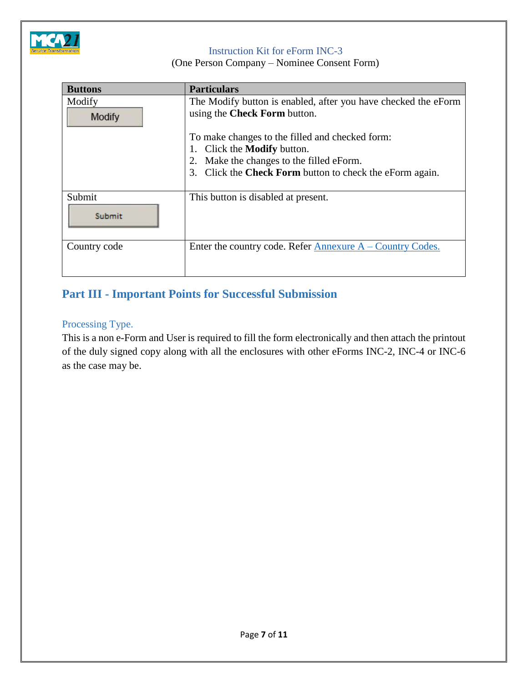

(One Person Company – Nominee Consent Form)

| <b>Buttons</b> | <b>Particulars</b>                                              |  |  |  |
|----------------|-----------------------------------------------------------------|--|--|--|
| Modify         | The Modify button is enabled, after you have checked the eForm  |  |  |  |
| Modify         | using the Check Form button.                                    |  |  |  |
|                | To make changes to the filled and checked form:                 |  |  |  |
|                | Click the <b>Modify</b> button.<br>Ι.                           |  |  |  |
|                | Make the changes to the filled eForm.<br>2.                     |  |  |  |
|                | 3. Click the <b>Check Form</b> button to check the eForm again. |  |  |  |
|                |                                                                 |  |  |  |
| Submit         | This button is disabled at present.                             |  |  |  |
| Submit         |                                                                 |  |  |  |
| Country code   | Enter the country code. Refer Annexure $A -$ Country Codes.     |  |  |  |
|                |                                                                 |  |  |  |

### <span id="page-6-0"></span>**Part III - Important Points for Successful Submission**

### <span id="page-6-1"></span>Processing Type.

This is a non e-Form and User is required to fill the form electronically and then attach the printout of the duly signed copy along with all the enclosures with other eForms INC-2, INC-4 or INC-6 as the case may be.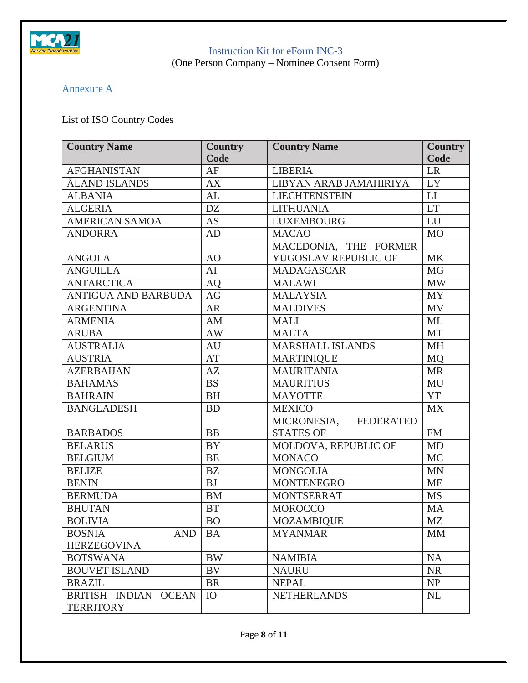

(One Person Company – Nominee Consent Form)

### <span id="page-7-0"></span>Annexure A

## List of ISO Country Codes

| <b>Country Name</b>         | <b>Country</b> | <b>Country Name</b>     | <b>Country</b> |
|-----------------------------|----------------|-------------------------|----------------|
|                             | Code           |                         | Code           |
| <b>AFGHANISTAN</b>          | AF             | <b>LIBERIA</b>          | $\rm LR$       |
| ÅLAND ISLANDS               | AX             | LIBYAN ARAB JAMAHIRIYA  | LY             |
| <b>ALBANIA</b>              | AL             | <b>LIECHTENSTEIN</b>    | LI             |
| <b>ALGERIA</b>              | <b>DZ</b>      | <b>LITHUANIA</b>        | <b>LT</b>      |
| <b>AMERICAN SAMOA</b>       | <b>AS</b>      | <b>LUXEMBOURG</b>       | LU             |
| <b>ANDORRA</b>              | AD             | <b>MACAO</b>            | <b>MO</b>      |
|                             |                | MACEDONIA, THE FORMER   |                |
| <b>ANGOLA</b>               | AO             | YUGOSLAV REPUBLIC OF    | <b>MK</b>      |
| <b>ANGUILLA</b>             | AI             | <b>MADAGASCAR</b>       | MG             |
| <b>ANTARCTICA</b>           | AQ             | <b>MALAWI</b>           | <b>MW</b>      |
| ANTIGUA AND BARBUDA         | AG             | <b>MALAYSIA</b>         | <b>MY</b>      |
| <b>ARGENTINA</b>            | <b>AR</b>      | <b>MALDIVES</b>         | <b>MV</b>      |
| <b>ARMENIA</b>              | AM             | <b>MALI</b>             | <b>ML</b>      |
| <b>ARUBA</b>                | AW             | <b>MALTA</b>            | <b>MT</b>      |
| <b>AUSTRALIA</b>            | AU             | <b>MARSHALL ISLANDS</b> | <b>MH</b>      |
| <b>AUSTRIA</b>              | AT             | <b>MARTINIQUE</b>       | <b>MQ</b>      |
| <b>AZERBAIJAN</b>           | AZ             | <b>MAURITANIA</b>       | <b>MR</b>      |
| <b>BAHAMAS</b>              | <b>BS</b>      | <b>MAURITIUS</b>        | MU             |
| <b>BAHRAIN</b>              | <b>BH</b>      | <b>MAYOTTE</b>          | <b>YT</b>      |
| <b>BANGLADESH</b>           | <b>BD</b>      | <b>MEXICO</b>           | <b>MX</b>      |
|                             |                | MICRONESIA, FEDERATED   |                |
| <b>BARBADOS</b>             | <b>BB</b>      | <b>STATES OF</b>        | <b>FM</b>      |
| <b>BELARUS</b>              | <b>BY</b>      | MOLDOVA, REPUBLIC OF    | <b>MD</b>      |
| <b>BELGIUM</b>              | <b>BE</b>      | <b>MONACO</b>           | <b>MC</b>      |
| <b>BELIZE</b>               | BZ             | <b>MONGOLIA</b>         | <b>MN</b>      |
| <b>BENIN</b>                | <b>BJ</b>      | <b>MONTENEGRO</b>       | <b>ME</b>      |
| <b>BERMUDA</b>              | ${\rm BM}$     | <b>MONTSERRAT</b>       | <b>MS</b>      |
| <b>BHUTAN</b>               | <b>BT</b>      | <b>MOROCCO</b>          | MA             |
| <b>BOLIVIA</b>              | <b>BO</b>      | <b>MOZAMBIQUE</b>       | <b>MZ</b>      |
| <b>BOSNIA</b><br><b>AND</b> | <b>BA</b>      | <b>MYANMAR</b>          | <b>MM</b>      |
| <b>HERZEGOVINA</b>          |                |                         |                |
| <b>BOTSWANA</b>             | <b>BW</b>      | <b>NAMIBIA</b>          | NA             |
| <b>BOUVET ISLAND</b>        | BV             | <b>NAURU</b>            | <b>NR</b>      |
| <b>BRAZIL</b>               | <b>BR</b>      | <b>NEPAL</b>            | NP             |
| BRITISH INDIAN OCEAN        | IO             | <b>NETHERLANDS</b>      | NL             |
| <b>TERRITORY</b>            |                |                         |                |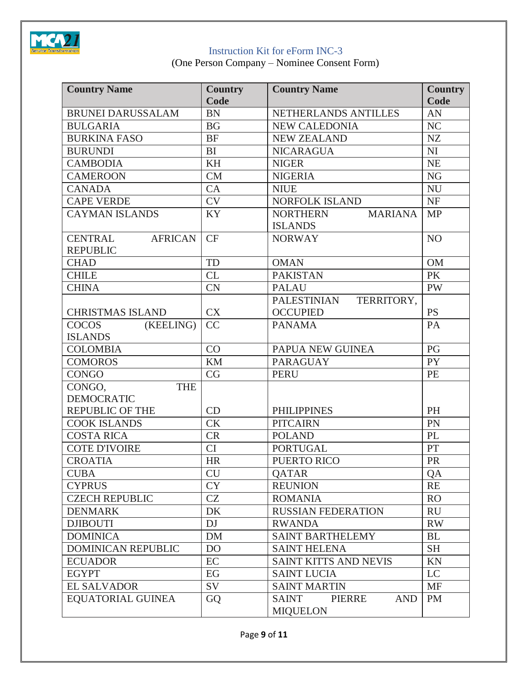

(One Person Company – Nominee Consent Form)

| <b>Country Name</b>                                 | <b>Country</b><br>Code | <b>Country Name</b>                              | <b>Country</b><br>Code |
|-----------------------------------------------------|------------------------|--------------------------------------------------|------------------------|
| <b>BRUNEI DARUSSALAM</b>                            | <b>BN</b>              | NETHERLANDS ANTILLES                             | AN                     |
| <b>BULGARIA</b>                                     | <b>BG</b>              | <b>NEW CALEDONIA</b>                             | NC                     |
| <b>BURKINA FASO</b>                                 | <b>BF</b>              | <b>NEW ZEALAND</b>                               | NZ                     |
| <b>BURUNDI</b>                                      | <b>BI</b>              | <b>NICARAGUA</b>                                 | NI                     |
| <b>CAMBODIA</b>                                     | <b>KH</b>              | <b>NIGER</b>                                     | NE                     |
| <b>CAMEROON</b>                                     | CM                     | <b>NIGERIA</b>                                   | <b>NG</b>              |
| <b>CANADA</b>                                       | CA                     | <b>NIUE</b>                                      | <b>NU</b>              |
| <b>CAPE VERDE</b>                                   | <b>CV</b>              | NORFOLK ISLAND                                   | NF                     |
| <b>CAYMAN ISLANDS</b>                               | KY                     | <b>NORTHERN</b><br><b>MARIANA</b>                | <b>MP</b>              |
|                                                     |                        | <b>ISLANDS</b>                                   |                        |
| <b>CENTRAL</b><br><b>AFRICAN</b><br><b>REPUBLIC</b> | <b>CF</b>              | <b>NORWAY</b>                                    | NO                     |
| <b>CHAD</b>                                         | TD                     | <b>OMAN</b>                                      | <b>OM</b>              |
| <b>CHILE</b>                                        | <b>CL</b>              | <b>PAKISTAN</b>                                  | <b>PK</b>              |
| <b>CHINA</b>                                        | <b>CN</b>              | <b>PALAU</b>                                     | <b>PW</b>              |
|                                                     |                        | PALESTINIAN<br>TERRITORY,                        |                        |
| <b>CHRISTMAS ISLAND</b>                             | <b>CX</b>              | <b>OCCUPIED</b>                                  | <b>PS</b>              |
| (KEELING)<br><b>COCOS</b>                           | CC                     | <b>PANAMA</b>                                    | PA                     |
| <b>ISLANDS</b>                                      |                        |                                                  |                        |
| <b>COLOMBIA</b>                                     | CO                     | PAPUA NEW GUINEA                                 | PG                     |
| <b>COMOROS</b>                                      | <b>KM</b>              | <b>PARAGUAY</b>                                  | <b>PY</b>              |
| <b>CONGO</b>                                        | CG                     | <b>PERU</b>                                      | PE                     |
| <b>THE</b><br>CONGO,                                |                        |                                                  |                        |
| <b>DEMOCRATIC</b>                                   |                        |                                                  |                        |
| <b>REPUBLIC OF THE</b>                              | CD                     | <b>PHILIPPINES</b>                               | PH                     |
| <b>COOK ISLANDS</b>                                 | <b>CK</b>              | <b>PITCAIRN</b>                                  | PN                     |
| <b>COSTA RICA</b>                                   | <b>CR</b>              | <b>POLAND</b>                                    | PL                     |
| <b>COTE D'IVOIRE</b>                                | <b>CI</b>              | <b>PORTUGAL</b>                                  | PT                     |
| <b>CROATIA</b>                                      | <b>HR</b>              | PUERTO RICO                                      | PR                     |
| <b>CUBA</b>                                         | <b>CU</b>              | QATAR                                            | QA                     |
| <b>CYPRUS</b>                                       | <b>CY</b>              | <b>REUNION</b>                                   | <b>RE</b>              |
| <b>CZECH REPUBLIC</b>                               | <b>CZ</b>              | <b>ROMANIA</b>                                   | R <sub>O</sub>         |
| <b>DENMARK</b>                                      | DK                     | <b>RUSSIAN FEDERATION</b>                        | <b>RU</b>              |
| <b>DJIBOUTI</b>                                     | DJ                     | <b>RWANDA</b>                                    | <b>RW</b>              |
| <b>DOMINICA</b>                                     | <b>DM</b>              | <b>SAINT BARTHELEMY</b>                          | <b>BL</b>              |
| <b>DOMINICAN REPUBLIC</b>                           | D <sub>O</sub>         | <b>SAINT HELENA</b>                              | <b>SH</b>              |
| <b>ECUADOR</b>                                      | EC                     | <b>SAINT KITTS AND NEVIS</b>                     | KN                     |
| <b>EGYPT</b>                                        | EG                     | <b>SAINT LUCIA</b>                               | <b>LC</b>              |
| <b>EL SALVADOR</b>                                  | SV                     | <b>SAINT MARTIN</b>                              | <b>MF</b>              |
| EQUATORIAL GUINEA                                   | GQ                     | SAINT<br>PIERRE<br><b>AND</b><br><b>MIQUELON</b> | <b>PM</b>              |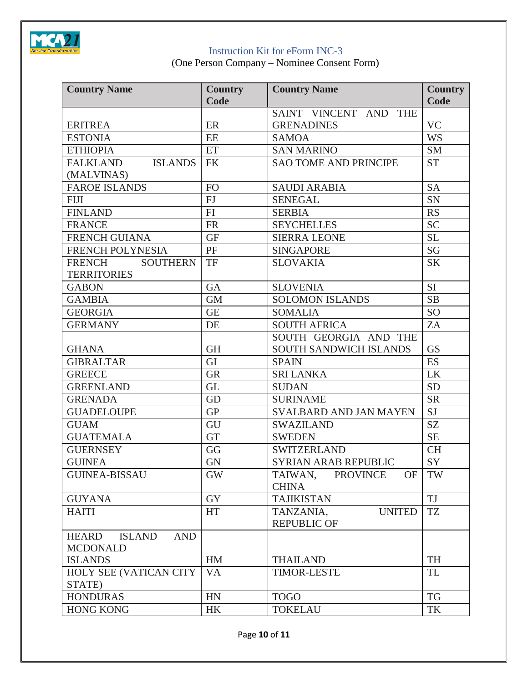

(One Person Company – Nominee Consent Form)

| <b>Country Name</b>                  | <b>Country</b> | <b>Country Name</b>                                     | <b>Country</b> |
|--------------------------------------|----------------|---------------------------------------------------------|----------------|
|                                      | Code           |                                                         | Code           |
|                                      |                | SAINT VINCENT AND<br><b>THE</b>                         |                |
| <b>ERITREA</b>                       | ER             | <b>GRENADINES</b>                                       | <b>VC</b>      |
| <b>ESTONIA</b>                       | <b>EE</b>      | <b>SAMOA</b>                                            | <b>WS</b>      |
| <b>ETHIOPIA</b>                      | ET             | <b>SAN MARINO</b>                                       | <b>SM</b>      |
| <b>FALKLAND</b><br><b>ISLANDS</b>    | <b>FK</b>      | <b>SAO TOME AND PRINCIPE</b>                            | <b>ST</b>      |
| (MALVINAS)                           |                |                                                         |                |
| <b>FAROE ISLANDS</b>                 | <b>FO</b>      | <b>SAUDI ARABIA</b>                                     | <b>SA</b>      |
| <b>FIJI</b>                          | FJ             | <b>SENEGAL</b>                                          | <b>SN</b>      |
| <b>FINLAND</b>                       | FI             | <b>SERBIA</b>                                           | <b>RS</b>      |
| <b>FRANCE</b>                        | <b>FR</b>      | <b>SEYCHELLES</b>                                       | <b>SC</b>      |
| <b>FRENCH GUIANA</b>                 | <b>GF</b>      | <b>SIERRA LEONE</b>                                     | <b>SL</b>      |
| FRENCH POLYNESIA                     | PF             | <b>SINGAPORE</b>                                        | SG             |
| <b>FRENCH</b><br><b>SOUTHERN</b>     | TF             | <b>SLOVAKIA</b>                                         | <b>SK</b>      |
| <b>TERRITORIES</b>                   |                |                                                         |                |
| <b>GABON</b>                         | GA             | <b>SLOVENIA</b>                                         | <b>SI</b>      |
| <b>GAMBIA</b>                        | <b>GM</b>      | <b>SOLOMON ISLANDS</b>                                  | SB             |
| <b>GEORGIA</b>                       | <b>GE</b>      | <b>SOMALIA</b>                                          | <b>SO</b>      |
| <b>GERMANY</b>                       | DE             | <b>SOUTH AFRICA</b>                                     | ZA             |
|                                      |                | SOUTH GEORGIA AND THE                                   |                |
| <b>GHANA</b>                         | <b>GH</b>      | <b>SOUTH SANDWICH ISLANDS</b>                           | <b>GS</b>      |
| <b>GIBRALTAR</b>                     | GI             | <b>SPAIN</b>                                            | <b>ES</b>      |
| <b>GREECE</b>                        | <b>GR</b>      | <b>SRI LANKA</b>                                        | LK             |
| <b>GREENLAND</b>                     | <b>GL</b>      | <b>SUDAN</b>                                            | <b>SD</b>      |
| <b>GRENADA</b>                       | GD             | <b>SURINAME</b>                                         | <b>SR</b>      |
| <b>GUADELOUPE</b>                    | <b>GP</b>      | <b>SVALBARD AND JAN MAYEN</b>                           | <b>SJ</b>      |
| <b>GUAM</b>                          | GU             | <b>SWAZILAND</b>                                        | SZ             |
| <b>GUATEMALA</b>                     | <b>GT</b>      | <b>SWEDEN</b>                                           | <b>SE</b>      |
| <b>GUERNSEY</b>                      | GG             | <b>SWITZERLAND</b>                                      | <b>CH</b>      |
| <b>GUINEA</b>                        | <b>GN</b>      | <b>SYRIAN ARAB REPUBLIC</b>                             | SY             |
| <b>GUINEA-BISSAU</b>                 | <b>GW</b>      | TAIWAN,<br><b>PROVINCE</b><br><b>OF</b><br><b>CHINA</b> | TW             |
| <b>GUYANA</b>                        | <b>GY</b>      | <b>TAJIKISTAN</b>                                       | <b>TJ</b>      |
| <b>HAITI</b>                         | <b>HT</b>      | <b>UNITED</b><br>TANZANIA,<br><b>REPUBLIC OF</b>        | <b>TZ</b>      |
| <b>ISLAND</b><br><b>AND</b><br>HEARD |                |                                                         |                |
| <b>MCDONALD</b><br><b>ISLANDS</b>    | HM             | <b>THAILAND</b>                                         | TH             |
| HOLY SEE (VATICAN CITY               | VA             | <b>TIMOR-LESTE</b>                                      | <b>TL</b>      |
| STATE)                               |                |                                                         |                |
| <b>HONDURAS</b>                      | HN             | <b>TOGO</b>                                             | TG             |
| <b>HONG KONG</b>                     | <b>HK</b>      | <b>TOKELAU</b>                                          | TK             |